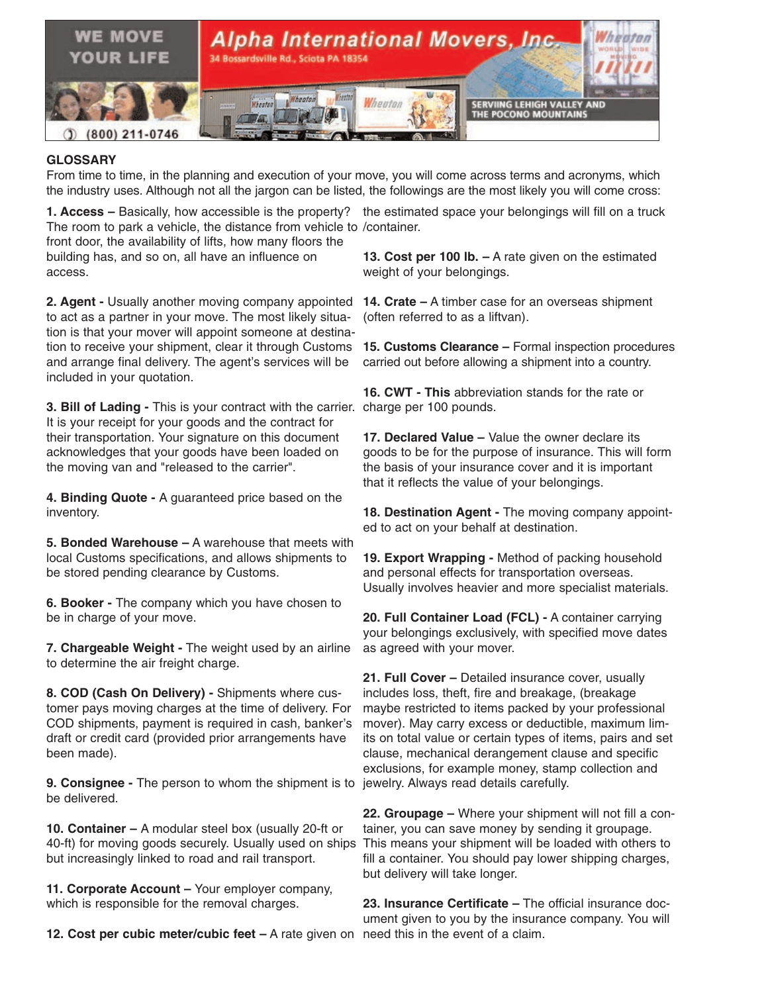

## **GLOSSARY**

From time to time, in the planning and execution of your move, you will come across terms and acronyms, which the industry uses. Although not all the jargon can be listed, the followings are the most likely you will come cross:

**1. Access –** Basically, how accessible is the property? the estimated space your belongings will fill on a truck The room to park a vehicle, the distance from vehicle to /container. front door, the availability of lifts, how many floors the building has, and so on, all have an influence on access.

**2. Agent -** Usually another moving company appointed **14. Crate –** A timber case for an overseas shipment to act as a partner in your move. The most likely situation is that your mover will appoint someone at destination to receive your shipment, clear it through Customs and arrange final delivery. The agent's services will be included in your quotation.

**3. Bill of Lading -** This is your contract with the carrier. charge per 100 pounds. It is your receipt for your goods and the contract for their transportation. Your signature on this document acknowledges that your goods have been loaded on the moving van and "released to the carrier".

**4. Binding Quote -** A guaranteed price based on the inventory.

**5. Bonded Warehouse –** A warehouse that meets with local Customs specifications, and allows shipments to be stored pending clearance by Customs.

**6. Booker -** The company which you have chosen to be in charge of your move.

**7. Chargeable Weight -** The weight used by an airline to determine the air freight charge.

**8. COD (Cash On Delivery) -** Shipments where customer pays moving charges at the time of delivery. For COD shipments, payment is required in cash, banker's draft or credit card (provided prior arrangements have been made).

**9. Consignee -** The person to whom the shipment is to jewelry. Always read details carefully. be delivered.

**10. Container –** A modular steel box (usually 20-ft or 40-ft) for moving goods securely. Usually used on ships but increasingly linked to road and rail transport.

**11. Corporate Account –** Your employer company, which is responsible for the removal charges.

**12. Cost per cubic meter/cubic feet –** A rate given on need this in the event of a claim.

**13. Cost per 100 lb. –** A rate given on the estimated weight of your belongings.

(often referred to as a liftvan).

**15. Customs Clearance –** Formal inspection procedures carried out before allowing a shipment into a country.

**16. CWT - This** abbreviation stands for the rate or

**17. Declared Value –** Value the owner declare its goods to be for the purpose of insurance. This will form the basis of your insurance cover and it is important that it reflects the value of your belongings.

**18. Destination Agent -** The moving company appointed to act on your behalf at destination.

**19. Export Wrapping -** Method of packing household and personal effects for transportation overseas. Usually involves heavier and more specialist materials.

**20. Full Container Load (FCL) -** A container carrying your belongings exclusively, with specified move dates as agreed with your mover.

**21. Full Cover –** Detailed insurance cover, usually includes loss, theft, fire and breakage, (breakage maybe restricted to items packed by your professional mover). May carry excess or deductible, maximum limits on total value or certain types of items, pairs and set clause, mechanical derangement clause and specific exclusions, for example money, stamp collection and

**22. Groupage –** Where your shipment will not fill a container, you can save money by sending it groupage. This means your shipment will be loaded with others to fill a container. You should pay lower shipping charges, but delivery will take longer.

**23. Insurance Certificate –** The official insurance document given to you by the insurance company. You will